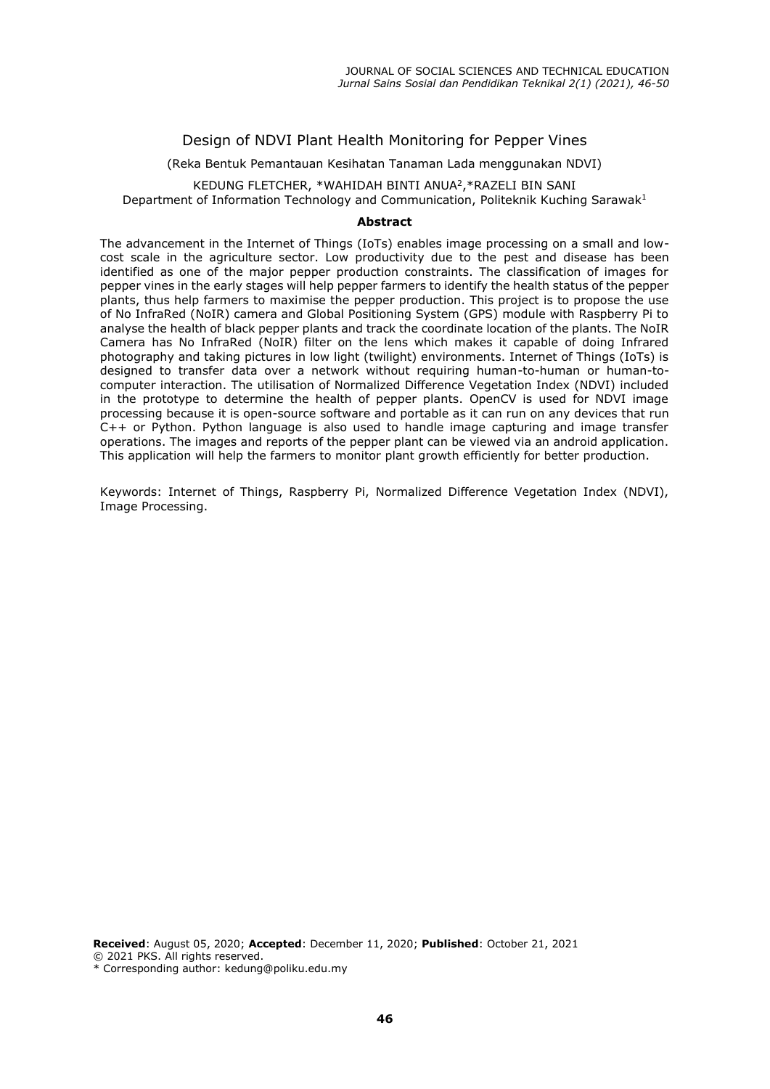## Design of NDVI Plant Health Monitoring for Pepper Vines

(Reka Bentuk Pemantauan Kesihatan Tanaman Lada menggunakan NDVI)

KEDUNG FLETCHER, \*WAHIDAH BINTI ANUA<sup>2</sup> ,\*RAZELI BIN SANI Department of Information Technology and Communication, Politeknik Kuching Sarawak<sup>1</sup>

#### **Abstract**

The advancement in the Internet of Things (IoTs) enables image processing on a small and lowcost scale in the agriculture sector. Low productivity due to the pest and disease has been identified as one of the major pepper production constraints. The classification of images for pepper vines in the early stages will help pepper farmers to identify the health status of the pepper plants, thus help farmers to maximise the pepper production. This project is to propose the use of No InfraRed (NoIR) camera and Global Positioning System (GPS) module with Raspberry Pi to analyse the health of black pepper plants and track the coordinate location of the plants. The NoIR Camera has No InfraRed (NoIR) filter on the lens which makes it capable of doing Infrared photography and taking pictures in low light (twilight) environments. Internet of Things (IoTs) is designed to transfer data over a network without requiring human-to-human or human-tocomputer interaction. The utilisation of Normalized Difference Vegetation Index (NDVI) included in the prototype to determine the health of pepper plants. OpenCV is used for NDVI image processing because it is open-source software and portable as it can run on any devices that run C++ or Python. Python language is also used to handle image capturing and image transfer operations. The images and reports of the pepper plant can be viewed via an android application. This application will help the farmers to monitor plant growth efficiently for better production.

Keywords: Internet of Things, Raspberry Pi, Normalized Difference Vegetation Index (NDVI), Image Processing.

**Received**: August 05, 2020; **Accepted**: December 11, 2020; **Published**: October 21, 2021 © 2021 PKS. All rights reserved.

\* Corresponding author: kedung@poliku.edu.my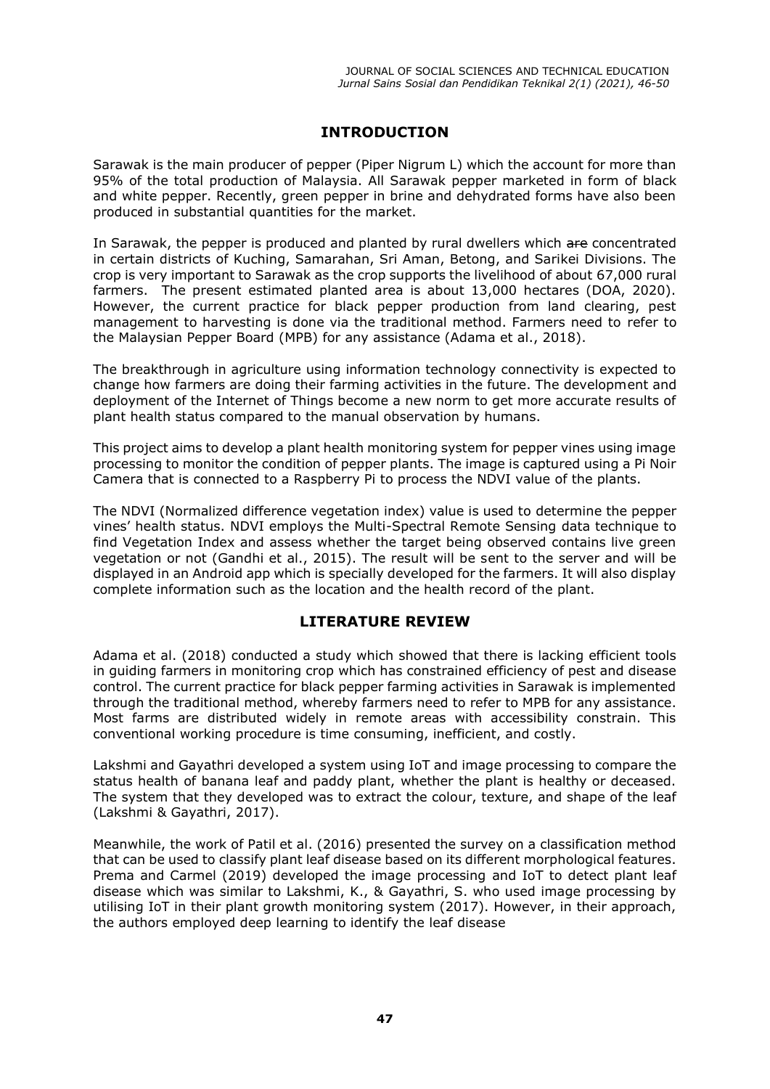## **INTRODUCTION**

Sarawak is the main producer of pepper (Piper Nigrum L) which the account for more than 95% of the total production of Malaysia. All Sarawak pepper marketed in form of black and white pepper. Recently, green pepper in brine and dehydrated forms have also been produced in substantial quantities for the market.

In Sarawak, the pepper is produced and planted by rural dwellers which are concentrated in certain districts of Kuching, Samarahan, Sri Aman, Betong, and Sarikei Divisions. The crop is very important to Sarawak as the crop supports the livelihood of about 67,000 rural farmers. The present estimated planted area is about 13,000 hectares (DOA, 2020). However, the current practice for black pepper production from land clearing, pest management to harvesting is done via the traditional method. Farmers need to refer to the Malaysian Pepper Board (MPB) for any assistance (Adama et al., 2018).

The breakthrough in agriculture using information technology connectivity is expected to change how farmers are doing their farming activities in the future. The development and deployment of the Internet of Things become a new norm to get more accurate results of plant health status compared to the manual observation by humans.

This project aims to develop a plant health monitoring system for pepper vines using image processing to monitor the condition of pepper plants. The image is captured using a Pi Noir Camera that is connected to a Raspberry Pi to process the NDVI value of the plants.

The NDVI (Normalized difference vegetation index) value is used to determine the pepper vines' health status. NDVI employs the Multi-Spectral Remote Sensing data technique to find Vegetation Index and assess whether the target being observed contains live green vegetation or not (Gandhi et al., 2015). The result will be sent to the server and will be displayed in an Android app which is specially developed for the farmers. It will also display complete information such as the location and the health record of the plant.

## **LITERATURE REVIEW**

Adama et al. (2018) conducted a study which showed that there is lacking efficient tools in guiding farmers in monitoring crop which has constrained efficiency of pest and disease control. The current practice for black pepper farming activities in Sarawak is implemented through the traditional method, whereby farmers need to refer to MPB for any assistance. Most farms are distributed widely in remote areas with accessibility constrain. This conventional working procedure is time consuming, inefficient, and costly.

Lakshmi and Gayathri developed a system using IoT and image processing to compare the status health of banana leaf and paddy plant, whether the plant is healthy or deceased. The system that they developed was to extract the colour, texture, and shape of the leaf (Lakshmi & Gayathri, 2017).

Meanwhile, the work of Patil et al. (2016) presented the survey on a classification method that can be used to classify plant leaf disease based on its different morphological features. Prema and Carmel (2019) developed the image processing and IoT to detect plant leaf disease which was similar to Lakshmi, K., & Gayathri, S. who used image processing by utilising IoT in their plant growth monitoring system (2017). However, in their approach, the authors employed deep learning to identify the leaf disease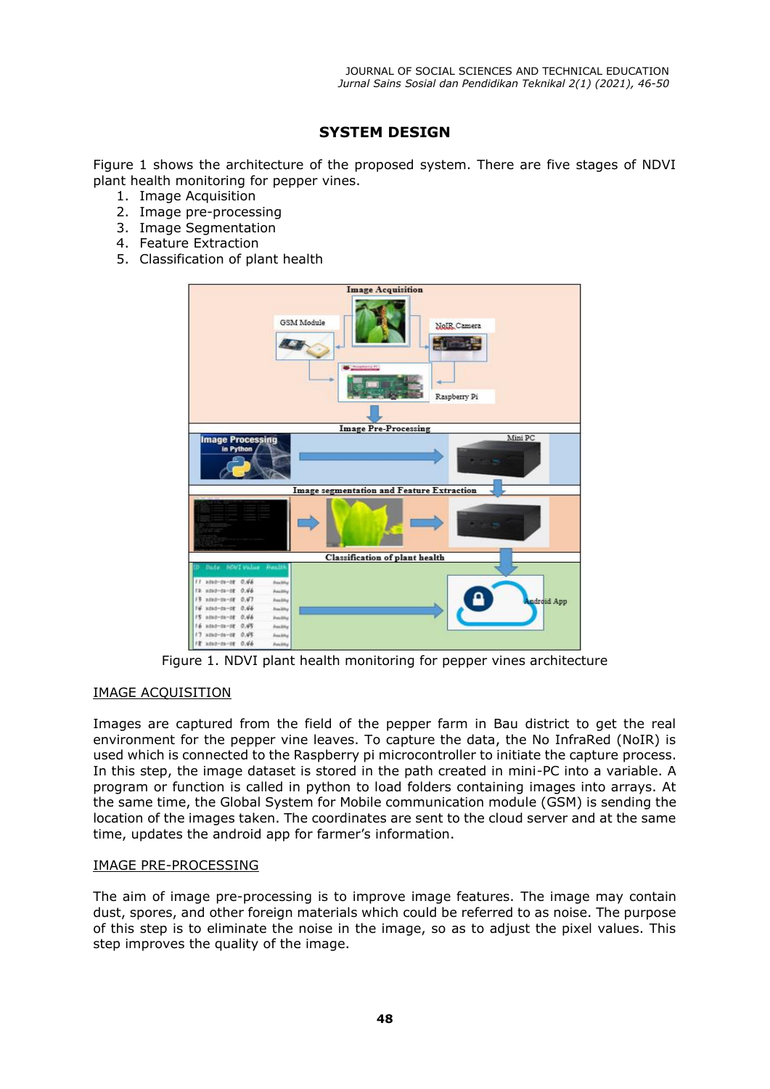# **SYSTEM DESIGN**

Figure 1 shows the architecture of the proposed system. There are five stages of NDVI plant health monitoring for pepper vines.

- 1. Image Acquisition
- 2. Image pre-processing
- 3. Image Segmentation
- 4. Feature Extraction
- 5. Classification of plant health



Figure 1. NDVI plant health monitoring for pepper vines architecture

### IMAGE ACQUISITION

Images are captured from the field of the pepper farm in Bau district to get the real environment for the pepper vine leaves. To capture the data, the No InfraRed (NoIR) is used which is connected to the Raspberry pi microcontroller to initiate the capture process. In this step, the image dataset is stored in the path created in mini-PC into a variable. A program or function is called in python to load folders containing images into arrays. At the same time, the Global System for Mobile communication module (GSM) is sending the location of the images taken. The coordinates are sent to the cloud server and at the same time, updates the android app for farmer's information.

### IMAGE PRE-PROCESSING

The aim of image pre-processing is to improve image features. The image may contain dust, spores, and other foreign materials which could be referred to as noise. The purpose of this step is to eliminate the noise in the image, so as to adjust the pixel values. This step improves the quality of the image.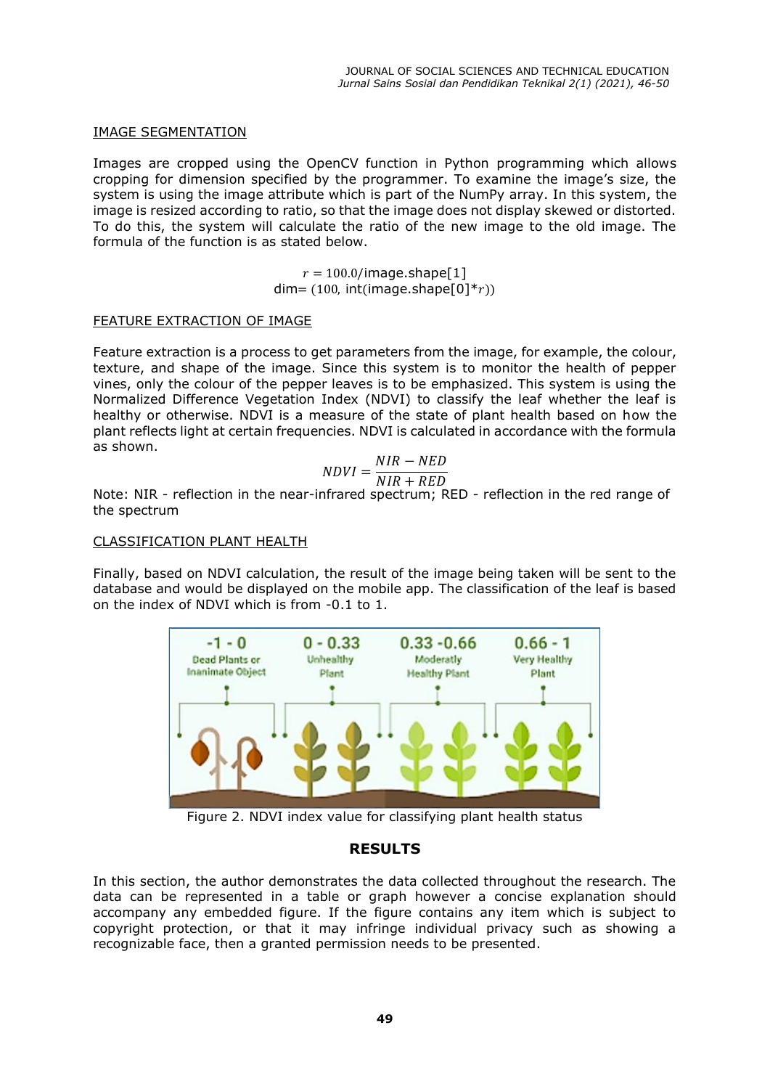#### IMAGE SEGMENTATION

Images are cropped using the OpenCV function in Python programming which allows cropping for dimension specified by the programmer. To examine the image's size, the system is using the image attribute which is part of the NumPy array. In this system, the image is resized according to ratio, so that the image does not display skewed or distorted. To do this, the system will calculate the ratio of the new image to the old image. The formula of the function is as stated below.

> $r = 100.0$ /image.shape[1]  $dim=(100, int(image.shape[0]*r))$

#### FEATURE EXTRACTION OF IMAGE

Feature extraction is a process to get parameters from the image, for example, the colour, texture, and shape of the image. Since this system is to monitor the health of pepper vines, only the colour of the pepper leaves is to be emphasized. This system is using the Normalized Difference Vegetation Index (NDVI) to classify the leaf whether the leaf is healthy or otherwise. NDVI is a measure of the state of plant health based on how the plant reflects light at certain frequencies. NDVI is calculated in accordance with the formula as shown.

$$
NDVI = \frac{NIR - NED}{NIR + RFD}
$$

 $NIR + RED$ <br>Note: NIR - reflection in the near-infrared spectrum; RED - reflection in the red range of the spectrum

#### CLASSIFICATION PLANT HEALTH

Finally, based on NDVI calculation, the result of the image being taken will be sent to the database and would be displayed on the mobile app. The classification of the leaf is based on the index of NDVI which is from -0.1 to 1.



Figure 2. NDVI index value for classifying plant health status

### **RESULTS**

In this section, the author demonstrates the data collected throughout the research. The data can be represented in a table or graph however a concise explanation should accompany any embedded figure. If the figure contains any item which is subject to copyright protection, or that it may infringe individual privacy such as showing a recognizable face, then a granted permission needs to be presented.